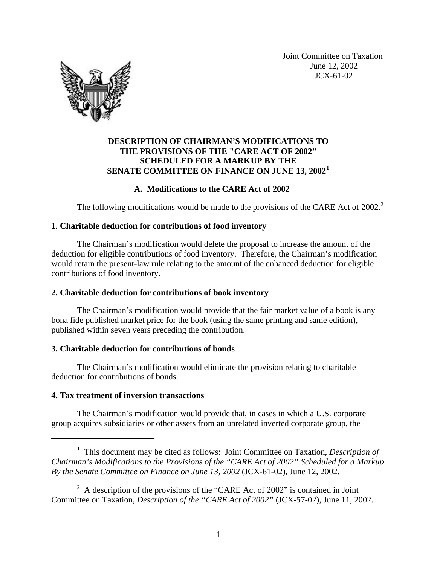Joint Committee on Taxation June 12, 2002 JCX-61-02



## **DESCRIPTION OF CHAIRMAN'S MODIFICATIONS TO THE PROVISIONS OF THE "CARE ACT OF 2002" SCHEDULED FOR A MARKUP BY THE SENATE COMMITTEE ON FINANCE ON JUNE 13, 2002<sup>1</sup>**

## **A. Modifications to the CARE Act of 2002**

The following modifications would be made to the provisions of the CARE Act of 2002.<sup>2</sup>

### **1. Charitable deduction for contributions of food inventory**

The Chairman's modification would delete the proposal to increase the amount of the deduction for eligible contributions of food inventory. Therefore, the Chairman's modification would retain the present-law rule relating to the amount of the enhanced deduction for eligible contributions of food inventory.

## **2. Charitable deduction for contributions of book inventory**

The Chairman's modification would provide that the fair market value of a book is any bona fide published market price for the book (using the same printing and same edition), published within seven years preceding the contribution.

## **3. Charitable deduction for contributions of bonds**

The Chairman's modification would eliminate the provision relating to charitable deduction for contributions of bonds.

### **4. Tax treatment of inversion transactions**

 $\overline{a}$ 

The Chairman's modification would provide that, in cases in which a U.S. corporate group acquires subsidiaries or other assets from an unrelated inverted corporate group, the

<sup>&</sup>lt;sup>1</sup> This document may be cited as follows: Joint Committee on Taxation, *Description of Chairman's Modifications to the Provisions of the "CARE Act of 2002" Scheduled for a Markup By the Senate Committee on Finance on June 13, 2002* (JCX-61-02), June 12, 2002.

<sup>&</sup>lt;sup>2</sup> A description of the provisions of the "CARE Act of 2002" is contained in Joint Committee on Taxation, *Description of the "CARE Act of 2002"* (JCX-57-02), June 11, 2002.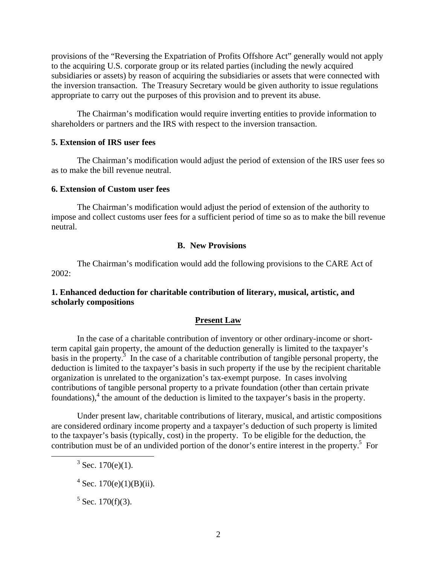provisions of the "Reversing the Expatriation of Profits Offshore Act" generally would not apply to the acquiring U.S. corporate group or its related parties (including the newly acquired subsidiaries or assets) by reason of acquiring the subsidiaries or assets that were connected with the inversion transaction. The Treasury Secretary would be given authority to issue regulations appropriate to carry out the purposes of this provision and to prevent its abuse.

The Chairman's modification would require inverting entities to provide information to shareholders or partners and the IRS with respect to the inversion transaction.

### **5. Extension of IRS user fees**

The Chairman's modification would adjust the period of extension of the IRS user fees so as to make the bill revenue neutral.

### **6. Extension of Custom user fees**

The Chairman's modification would adjust the period of extension of the authority to impose and collect customs user fees for a sufficient period of time so as to make the bill revenue neutral.

## **B. New Provisions**

The Chairman's modification would add the following provisions to the CARE Act of 2002:

## **1. Enhanced deduction for charitable contribution of literary, musical, artistic, and scholarly compositions**

# **Present Law**

In the case of a charitable contribution of inventory or other ordinary-income or shortterm capital gain property, the amount of the deduction generally is limited to the taxpayer's basis in the property.<sup>3</sup> In the case of a charitable contribution of tangible personal property, the deduction is limited to the taxpayer's basis in such property if the use by the recipient charitable organization is unrelated to the organization's tax-exempt purpose. In cases involving contributions of tangible personal property to a private foundation (other than certain private foundations),<sup>4</sup> the amount of the deduction is limited to the taxpayer's basis in the property.

Under present law, charitable contributions of literary, musical, and artistic compositions are considered ordinary income property and a taxpayer's deduction of such property is limited to the taxpayer's basis (typically, cost) in the property. To be eligible for the deduction, the contribution must be of an undivided portion of the donor's entire interest in the property.<sup>5</sup> For

 $\overline{a}$ 

 $3$  Sec. 170(e)(1).

 $4$  Sec. 170(e)(1)(B)(ii).

 $5$  Sec. 170(f)(3).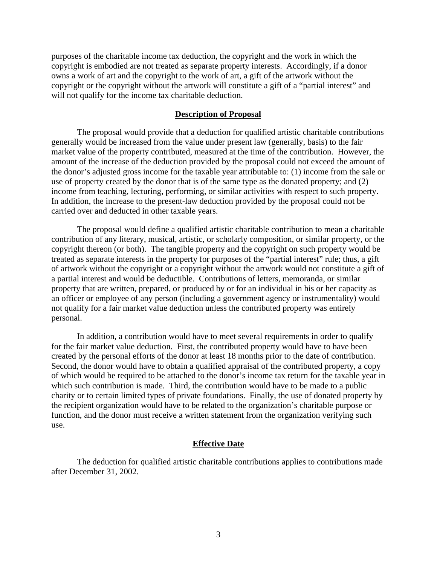purposes of the charitable income tax deduction, the copyright and the work in which the copyright is embodied are not treated as separate property interests. Accordingly, if a donor owns a work of art and the copyright to the work of art, a gift of the artwork without the copyright or the copyright without the artwork will constitute a gift of a "partial interest" and will not qualify for the income tax charitable deduction.

### **Description of Proposal**

The proposal would provide that a deduction for qualified artistic charitable contributions generally would be increased from the value under present law (generally, basis) to the fair market value of the property contributed, measured at the time of the contribution. However, the amount of the increase of the deduction provided by the proposal could not exceed the amount of the donor's adjusted gross income for the taxable year attributable to: (1) income from the sale or use of property created by the donor that is of the same type as the donated property; and (2) income from teaching, lecturing, performing, or similar activities with respect to such property. In addition, the increase to the present-law deduction provided by the proposal could not be carried over and deducted in other taxable years.

The proposal would define a qualified artistic charitable contribution to mean a charitable contribution of any literary, musical, artistic, or scholarly composition, or similar property, or the copyright thereon (or both). The tangible property and the copyright on such property would be treated as separate interests in the property for purposes of the "partial interest" rule; thus, a gift of artwork without the copyright or a copyright without the artwork would not constitute a gift of a partial interest and would be deductible. Contributions of letters, memoranda, or similar property that are written, prepared, or produced by or for an individual in his or her capacity as an officer or employee of any person (including a government agency or instrumentality) would not qualify for a fair market value deduction unless the contributed property was entirely personal.

In addition, a contribution would have to meet several requirements in order to qualify for the fair market value deduction. First, the contributed property would have to have been created by the personal efforts of the donor at least 18 months prior to the date of contribution. Second, the donor would have to obtain a qualified appraisal of the contributed property, a copy of which would be required to be attached to the donor's income tax return for the taxable year in which such contribution is made. Third, the contribution would have to be made to a public charity or to certain limited types of private foundations. Finally, the use of donated property by the recipient organization would have to be related to the organization's charitable purpose or function, and the donor must receive a written statement from the organization verifying such use.

### **Effective Date**

The deduction for qualified artistic charitable contributions applies to contributions made after December 31, 2002.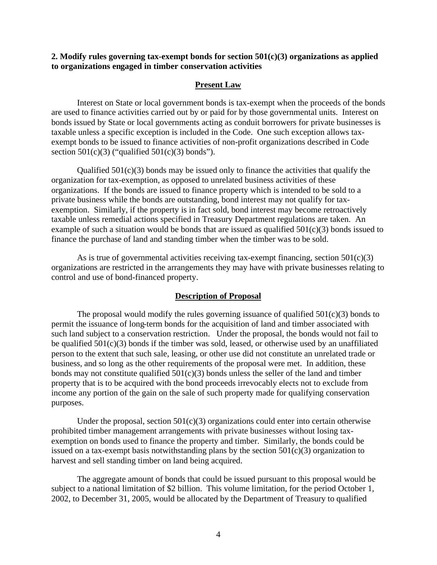### **2. Modify rules governing tax-exempt bonds for section 501(c)(3) organizations as applied to organizations engaged in timber conservation activities**

### **Present Law**

Interest on State or local government bonds is tax-exempt when the proceeds of the bonds are used to finance activities carried out by or paid for by those governmental units. Interest on bonds issued by State or local governments acting as conduit borrowers for private businesses is taxable unless a specific exception is included in the Code. One such exception allows taxexempt bonds to be issued to finance activities of non-profit organizations described in Code section  $501(c)(3)$  ("qualified  $501(c)(3)$  bonds").

Qualified  $501(c)(3)$  bonds may be issued only to finance the activities that qualify the organization for tax-exemption, as opposed to unrelated business activities of these organizations. If the bonds are issued to finance property which is intended to be sold to a private business while the bonds are outstanding, bond interest may not qualify for taxexemption. Similarly, if the property is in fact sold, bond interest may become retroactively taxable unless remedial actions specified in Treasury Department regulations are taken. An example of such a situation would be bonds that are issued as qualified  $501(c)(3)$  bonds issued to finance the purchase of land and standing timber when the timber was to be sold.

As is true of governmental activities receiving tax-exempt financing, section  $501(c)(3)$ organizations are restricted in the arrangements they may have with private businesses relating to control and use of bond-financed property.

#### **Description of Proposal**

The proposal would modify the rules governing issuance of qualified  $501(c)(3)$  bonds to permit the issuance of long-term bonds for the acquisition of land and timber associated with such land subject to a conservation restriction. Under the proposal, the bonds would not fail to be qualified 501(c)(3) bonds if the timber was sold, leased, or otherwise used by an unaffiliated person to the extent that such sale, leasing, or other use did not constitute an unrelated trade or business, and so long as the other requirements of the proposal were met. In addition, these bonds may not constitute qualified  $501(c)(3)$  bonds unless the seller of the land and timber property that is to be acquired with the bond proceeds irrevocably elects not to exclude from income any portion of the gain on the sale of such property made for qualifying conservation purposes.

Under the proposal, section  $501(c)(3)$  organizations could enter into certain otherwise prohibited timber management arrangements with private businesses without losing taxexemption on bonds used to finance the property and timber. Similarly, the bonds could be issued on a tax-exempt basis notwithstanding plans by the section  $501(c)(3)$  organization to harvest and sell standing timber on land being acquired.

The aggregate amount of bonds that could be issued pursuant to this proposal would be subject to a national limitation of \$2 billion. This volume limitation, for the period October 1, 2002, to December 31, 2005, would be allocated by the Department of Treasury to qualified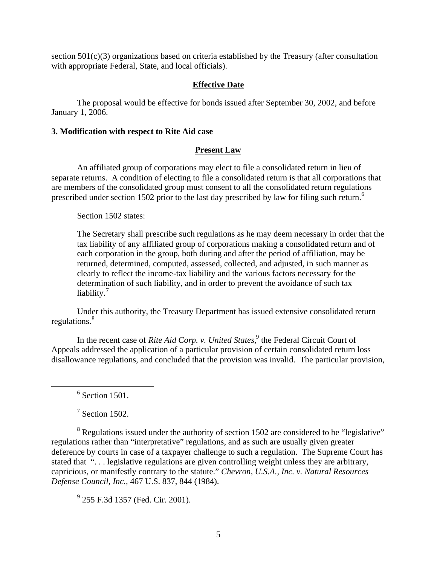section 501(c)(3) organizations based on criteria established by the Treasury (after consultation with appropriate Federal, State, and local officials).

## **Effective Date**

The proposal would be effective for bonds issued after September 30, 2002, and before January 1, 2006.

### **3. Modification with respect to Rite Aid case**

## **Present Law**

An affiliated group of corporations may elect to file a consolidated return in lieu of separate returns. A condition of electing to file a consolidated return is that all corporations that are members of the consolidated group must consent to all the consolidated return regulations prescribed under section 1502 prior to the last day prescribed by law for filing such return.<sup>6</sup>

Section 1502 states:

The Secretary shall prescribe such regulations as he may deem necessary in order that the tax liability of any affiliated group of corporations making a consolidated return and of each corporation in the group, both during and after the period of affiliation, may be returned, determined, computed, assessed, collected, and adjusted, in such manner as clearly to reflect the income-tax liability and the various factors necessary for the determination of such liability, and in order to prevent the avoidance of such tax liability.<sup>7</sup>

Under this authority, the Treasury Department has issued extensive consolidated return regulations.<sup>8</sup>

In the recent case of *Rite Aid Corp. v. United States*,<sup>9</sup> the Federal Circuit Court of Appeals addressed the application of a particular provision of certain consolidated return loss disallowance regulations, and concluded that the provision was invalid. The particular provision,

 $6$  Section 1501.

 $\overline{a}$ 

 $7$  Section 1502.

 $8$  Regulations issued under the authority of section 1502 are considered to be "legislative" regulations rather than "interpretative" regulations, and as such are usually given greater deference by courts in case of a taxpayer challenge to such a regulation. The Supreme Court has stated that "... legislative regulations are given controlling weight unless they are arbitrary, capricious, or manifestly contrary to the statute." *Chevron, U.S.A., Inc. v. Natural Resources Defense Council, Inc.,* 467 U.S. 837, 844 (1984).

<sup>9</sup> 255 F.3d 1357 (Fed. Cir. 2001).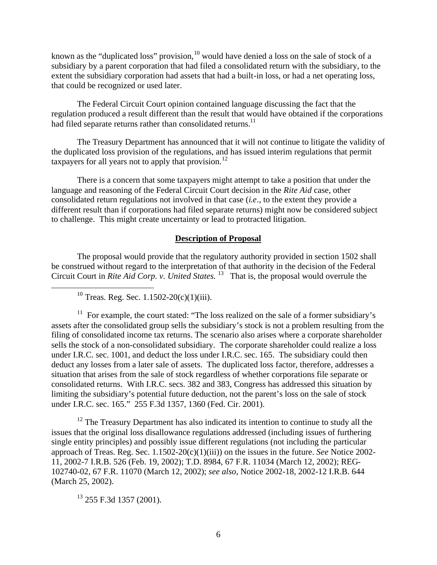known as the "duplicated loss" provision, $10$  would have denied a loss on the sale of stock of a subsidiary by a parent corporation that had filed a consolidated return with the subsidiary, to the extent the subsidiary corporation had assets that had a built-in loss, or had a net operating loss, that could be recognized or used later.

The Federal Circuit Court opinion contained language discussing the fact that the regulation produced a result different than the result that would have obtained if the corporations had filed separate returns rather than consolidated returns.<sup>11</sup>

The Treasury Department has announced that it will not continue to litigate the validity of the duplicated loss provision of the regulations, and has issued interim regulations that permit taxpayers for all years not to apply that provision.<sup>12</sup>

There is a concern that some taxpayers might attempt to take a position that under the language and reasoning of the Federal Circuit Court decision in the *Rite Aid* case, other consolidated return regulations not involved in that case (*i.e*., to the extent they provide a different result than if corporations had filed separate returns) might now be considered subject to challenge. This might create uncertainty or lead to protracted litigation.

## **Description of Proposal**

The proposal would provide that the regulatory authority provided in section 1502 shall be construed without regard to the interpretation of that authority in the decision of the Federal Circuit Court in *Rite Aid Corp. v. United States.* <sup>13</sup> That is, the proposal would overrule the

 $10$  Treas. Reg. Sec. 1.1502-20(c)(1)(iii).

 $\overline{a}$ 

<sup>11</sup> For example, the court stated: "The loss realized on the sale of a former subsidiary's assets after the consolidated group sells the subsidiary's stock is not a problem resulting from the filing of consolidated income tax returns. The scenario also arises where a corporate shareholder sells the stock of a non-consolidated subsidiary. The corporate shareholder could realize a loss under I.R.C. sec. 1001, and deduct the loss under I.R.C. sec. 165. The subsidiary could then deduct any losses from a later sale of assets. The duplicated loss factor, therefore, addresses a situation that arises from the sale of stock regardless of whether corporations file separate or consolidated returns. With I.R.C. secs. 382 and 383, Congress has addressed this situation by limiting the subsidiary's potential future deduction, not the parent's loss on the sale of stock under I.R.C. sec. 165." 255 F.3d 1357, 1360 (Fed. Cir. 2001).

<sup>12</sup> The Treasury Department has also indicated its intention to continue to study all the issues that the original loss disallowance regulations addressed (including issues of furthering single entity principles) and possibly issue different regulations (not including the particular approach of Treas. Reg. Sec. 1.1502-20(c)(1)(iii)) on the issues in the future. *See* Notice 2002- 11, 2002-7 I.R.B. 526 (Feb. 19, 2002); T.D. 8984, 67 F.R. 11034 (March 12, 2002); REG-102740-02, 67 F.R. 11070 (March 12, 2002); *see also*, Notice 2002-18, 2002-12 I.R.B. 644 (March 25, 2002).

 $13$  255 F.3d 1357 (2001).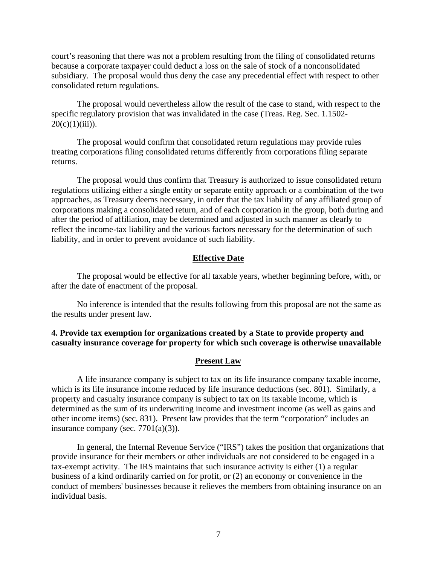court's reasoning that there was not a problem resulting from the filing of consolidated returns because a corporate taxpayer could deduct a loss on the sale of stock of a nonconsolidated subsidiary. The proposal would thus deny the case any precedential effect with respect to other consolidated return regulations.

The proposal would nevertheless allow the result of the case to stand, with respect to the specific regulatory provision that was invalidated in the case (Treas. Reg. Sec. 1.1502-  $20(c)(1)(iii)$ ).

The proposal would confirm that consolidated return regulations may provide rules treating corporations filing consolidated returns differently from corporations filing separate returns.

The proposal would thus confirm that Treasury is authorized to issue consolidated return regulations utilizing either a single entity or separate entity approach or a combination of the two approaches, as Treasury deems necessary, in order that the tax liability of any affiliated group of corporations making a consolidated return, and of each corporation in the group, both during and after the period of affiliation, may be determined and adjusted in such manner as clearly to reflect the income-tax liability and the various factors necessary for the determination of such liability, and in order to prevent avoidance of such liability.

#### **Effective Date**

The proposal would be effective for all taxable years, whether beginning before, with, or after the date of enactment of the proposal.

No inference is intended that the results following from this proposal are not the same as the results under present law.

## **4. Provide tax exemption for organizations created by a State to provide property and casualty insurance coverage for property for which such coverage is otherwise unavailable**

#### **Present Law**

A life insurance company is subject to tax on its life insurance company taxable income, which is its life insurance income reduced by life insurance deductions (sec. 801). Similarly, a property and casualty insurance company is subject to tax on its taxable income, which is determined as the sum of its underwriting income and investment income (as well as gains and other income items) (sec. 831). Present law provides that the term "corporation" includes an insurance company (sec.  $7701(a)(3)$ ).

In general, the Internal Revenue Service ("IRS") takes the position that organizations that provide insurance for their members or other individuals are not considered to be engaged in a tax-exempt activity. The IRS maintains that such insurance activity is either (1) a regular business of a kind ordinarily carried on for profit, or (2) an economy or convenience in the conduct of members' businesses because it relieves the members from obtaining insurance on an individual basis.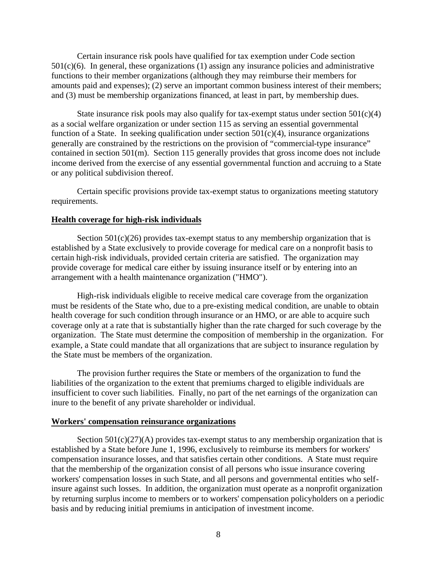Certain insurance risk pools have qualified for tax exemption under Code section  $501(c)(6)$ . In general, these organizations (1) assign any insurance policies and administrative functions to their member organizations (although they may reimburse their members for amounts paid and expenses); (2) serve an important common business interest of their members; and (3) must be membership organizations financed, at least in part, by membership dues.

State insurance risk pools may also qualify for tax-exempt status under section  $501(c)(4)$ as a social welfare organization or under section 115 as serving an essential governmental function of a State. In seeking qualification under section  $501(c)(4)$ , insurance organizations generally are constrained by the restrictions on the provision of "commercial-type insurance" contained in section 501(m). Section 115 generally provides that gross income does not include income derived from the exercise of any essential governmental function and accruing to a State or any political subdivision thereof.

Certain specific provisions provide tax-exempt status to organizations meeting statutory requirements.

### **Health coverage for high-risk individuals**

Section  $501(c)(26)$  provides tax-exempt status to any membership organization that is established by a State exclusively to provide coverage for medical care on a nonprofit basis to certain high-risk individuals, provided certain criteria are satisfied. The organization may provide coverage for medical care either by issuing insurance itself or by entering into an arrangement with a health maintenance organization ("HMO").

High-risk individuals eligible to receive medical care coverage from the organization must be residents of the State who, due to a pre-existing medical condition, are unable to obtain health coverage for such condition through insurance or an HMO, or are able to acquire such coverage only at a rate that is substantially higher than the rate charged for such coverage by the organization. The State must determine the composition of membership in the organization. For example, a State could mandate that all organizations that are subject to insurance regulation by the State must be members of the organization.

The provision further requires the State or members of the organization to fund the liabilities of the organization to the extent that premiums charged to eligible individuals are insufficient to cover such liabilities. Finally, no part of the net earnings of the organization can inure to the benefit of any private shareholder or individual.

#### **Workers' compensation reinsurance organizations**

Section  $501(c)(27)(A)$  provides tax-exempt status to any membership organization that is established by a State before June 1, 1996, exclusively to reimburse its members for workers' compensation insurance losses, and that satisfies certain other conditions. A State must require that the membership of the organization consist of all persons who issue insurance covering workers' compensation losses in such State, and all persons and governmental entities who selfinsure against such losses. In addition, the organization must operate as a nonprofit organization by returning surplus income to members or to workers' compensation policyholders on a periodic basis and by reducing initial premiums in anticipation of investment income.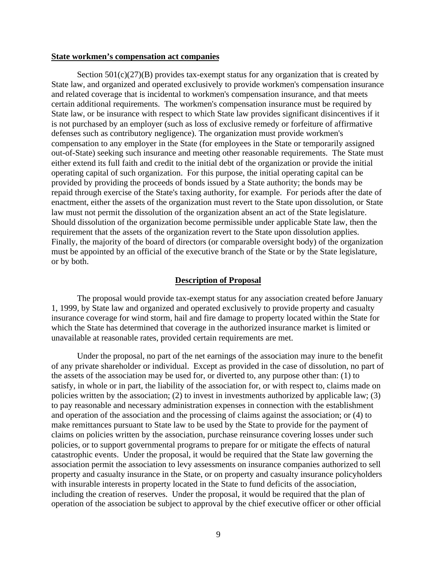#### **State workmen's compensation act companies**

Section  $501(c)(27)(B)$  provides tax-exempt status for any organization that is created by State law, and organized and operated exclusively to provide workmen's compensation insurance and related coverage that is incidental to workmen's compensation insurance, and that meets certain additional requirements. The workmen's compensation insurance must be required by State law, or be insurance with respect to which State law provides significant disincentives if it is not purchased by an employer (such as loss of exclusive remedy or forfeiture of affirmative defenses such as contributory negligence). The organization must provide workmen's compensation to any employer in the State (for employees in the State or temporarily assigned out-of-State) seeking such insurance and meeting other reasonable requirements. The State must either extend its full faith and credit to the initial debt of the organization or provide the initial operating capital of such organization. For this purpose, the initial operating capital can be provided by providing the proceeds of bonds issued by a State authority; the bonds may be repaid through exercise of the State's taxing authority, for example. For periods after the date of enactment, either the assets of the organization must revert to the State upon dissolution, or State law must not permit the dissolution of the organization absent an act of the State legislature. Should dissolution of the organization become permissible under applicable State law, then the requirement that the assets of the organization revert to the State upon dissolution applies. Finally, the majority of the board of directors (or comparable oversight body) of the organization must be appointed by an official of the executive branch of the State or by the State legislature, or by both.

#### **Description of Proposal**

The proposal would provide tax-exempt status for any association created before January 1, 1999, by State law and organized and operated exclusively to provide property and casualty insurance coverage for wind storm, hail and fire damage to property located within the State for which the State has determined that coverage in the authorized insurance market is limited or unavailable at reasonable rates, provided certain requirements are met.

Under the proposal, no part of the net earnings of the association may inure to the benefit of any private shareholder or individual. Except as provided in the case of dissolution, no part of the assets of the association may be used for, or diverted to, any purpose other than: (1) to satisfy, in whole or in part, the liability of the association for, or with respect to, claims made on policies written by the association; (2) to invest in investments authorized by applicable law; (3) to pay reasonable and necessary administration expenses in connection with the establishment and operation of the association and the processing of claims against the association; or (4) to make remittances pursuant to State law to be used by the State to provide for the payment of claims on policies written by the association, purchase reinsurance covering losses under such policies, or to support governmental programs to prepare for or mitigate the effects of natural catastrophic events. Under the proposal, it would be required that the State law governing the association permit the association to levy assessments on insurance companies authorized to sell property and casualty insurance in the State, or on property and casualty insurance policyholders with insurable interests in property located in the State to fund deficits of the association, including the creation of reserves. Under the proposal, it would be required that the plan of operation of the association be subject to approval by the chief executive officer or other official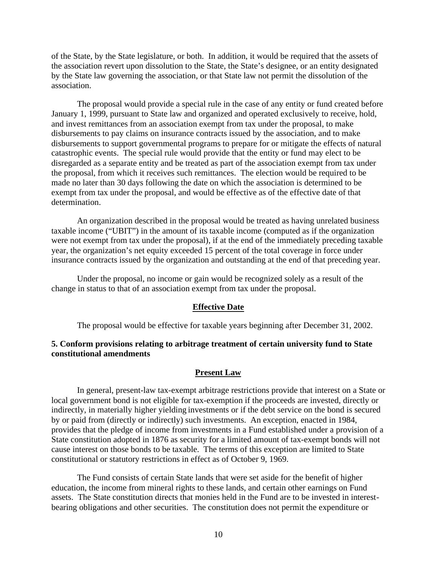of the State, by the State legislature, or both. In addition, it would be required that the assets of the association revert upon dissolution to the State, the State's designee, or an entity designated by the State law governing the association, or that State law not permit the dissolution of the association.

The proposal would provide a special rule in the case of any entity or fund created before January 1, 1999, pursuant to State law and organized and operated exclusively to receive, hold, and invest remittances from an association exempt from tax under the proposal, to make disbursements to pay claims on insurance contracts issued by the association, and to make disbursements to support governmental programs to prepare for or mitigate the effects of natural catastrophic events. The special rule would provide that the entity or fund may elect to be disregarded as a separate entity and be treated as part of the association exempt from tax under the proposal, from which it receives such remittances. The election would be required to be made no later than 30 days following the date on which the association is determined to be exempt from tax under the proposal, and would be effective as of the effective date of that determination.

An organization described in the proposal would be treated as having unrelated business taxable income ("UBIT") in the amount of its taxable income (computed as if the organization were not exempt from tax under the proposal), if at the end of the immediately preceding taxable year, the organization's net equity exceeded 15 percent of the total coverage in force under insurance contracts issued by the organization and outstanding at the end of that preceding year.

Under the proposal, no income or gain would be recognized solely as a result of the change in status to that of an association exempt from tax under the proposal.

### **Effective Date**

The proposal would be effective for taxable years beginning after December 31, 2002.

## **5. Conform provisions relating to arbitrage treatment of certain university fund to State constitutional amendments**

### **Present Law**

In general, present-law tax-exempt arbitrage restrictions provide that interest on a State or local government bond is not eligible for tax-exemption if the proceeds are invested, directly or indirectly, in materially higher yielding investments or if the debt service on the bond is secured by or paid from (directly or indirectly) such investments. An exception, enacted in 1984, provides that the pledge of income from investments in a Fund established under a provision of a State constitution adopted in 1876 as security for a limited amount of tax-exempt bonds will not cause interest on those bonds to be taxable. The terms of this exception are limited to State constitutional or statutory restrictions in effect as of October 9, 1969.

The Fund consists of certain State lands that were set aside for the benefit of higher education, the income from mineral rights to these lands, and certain other earnings on Fund assets. The State constitution directs that monies held in the Fund are to be invested in interestbearing obligations and other securities. The constitution does not permit the expenditure or